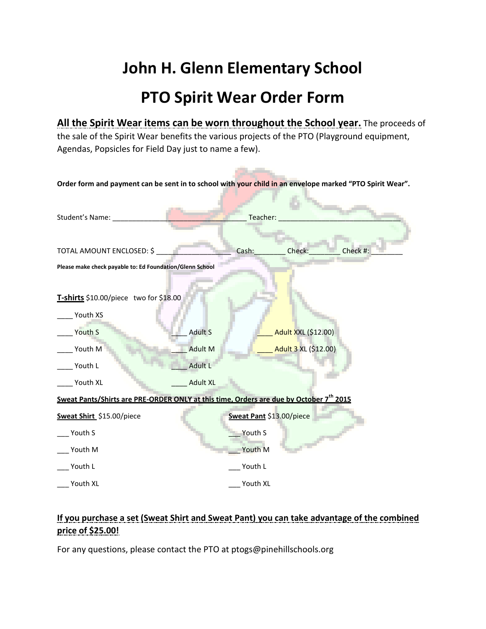## **John H. Glenn Elementary School PTO Spirit Wear Order Form**

**All the Spirit Wear items can be worn throughout the School year.** The proceeds of the sale of the Spirit Wear benefits the various projects of the PTO (Playground equipment, Agendas, Popsicles for Field Day just to name a few).

**Contract Contract Contract** 

| Order form and payment can be sent in to school with your child in an envelope marked "PTO Spirit Wear". |                 |                          |                            |          |
|----------------------------------------------------------------------------------------------------------|-----------------|--------------------------|----------------------------|----------|
| Student's Name:                                                                                          |                 | Teacher:                 |                            |          |
| TOTAL AMOUNT ENCLOSED: \$                                                                                |                 | Cash:                    | Check:                     | Check #: |
| Please make check payable to: Ed Foundation/Glenn School                                                 |                 |                          |                            |          |
| T-shirts \$10.00/piece two for \$18.00<br>Youth XS                                                       |                 |                          |                            |          |
| Youth S                                                                                                  | <b>Adult S</b>  |                          | <b>Adult XXL (\$12.00)</b> |          |
| Youth M                                                                                                  | <b>Adult M</b>  |                          | Adult 3 XL (\$12.00)       |          |
| Youth L                                                                                                  | <b>Adult L</b>  |                          |                            |          |
| Youth XL                                                                                                 | <b>Adult XL</b> |                          |                            |          |
| Sweat Pants/Shirts are PRE-ORDER ONLY at this time, Orders are due by October 7 <sup>th</sup> 2015       |                 |                          |                            |          |
| Sweat Shirt_\$15.00/piece                                                                                |                 | Sweat Pant \$13.00/piece |                            |          |
| Youth S                                                                                                  |                 | Youth S                  |                            |          |
| Youth M                                                                                                  |                 | Youth M                  |                            |          |
| Youth L                                                                                                  |                 | Youth L                  |                            |          |
| Youth XL                                                                                                 |                 | Youth XL                 |                            |          |

## **If you purchase a set (Sweat Shirt and Sweat Pant) you can take advantage of the combined price of \$25.00!**

For any questions, please contact the PTO at ptogs@pinehillschools.org